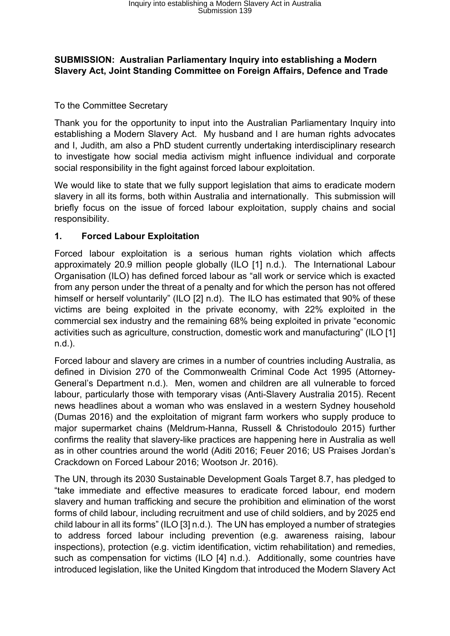#### **SUBMISSION: Australian Parliamentary Inquiry into establishing a Modern Slavery Act, Joint Standing Committee on Foreign Affairs, Defence and Trade**

#### To the Committee Secretary

Thank you for the opportunity to input into the Australian Parliamentary Inquiry into establishing a Modern Slavery Act. My husband and I are human rights advocates and I, Judith, am also a PhD student currently undertaking interdisciplinary research to investigate how social media activism might influence individual and corporate social responsibility in the fight against forced labour exploitation.

We would like to state that we fully support legislation that aims to eradicate modern slavery in all its forms, both within Australia and internationally. This submission will briefly focus on the issue of forced labour exploitation, supply chains and social responsibility.

#### **1. Forced Labour Exploitation**

Forced labour exploitation is a serious human rights violation which affects approximately 20.9 million people globally (ILO [1] n.d.). The International Labour Organisation (ILO) has defined forced labour as "all work or service which is exacted from any person under the threat of a penalty and for which the person has not offered himself or herself voluntarily" (ILO [2] n.d). The ILO has estimated that 90% of these victims are being exploited in the private economy, with 22% exploited in the commercial sex industry and the remaining 68% being exploited in private "economic activities such as agriculture, construction, domestic work and manufacturing" (ILO [1] n.d.).

Forced labour and slavery are crimes in a number of countries including Australia, as defined in Division 270 of the Commonwealth Criminal Code Act 1995 (Attorney-General's Department n.d.). Men, women and children are all vulnerable to forced labour, particularly those with temporary visas (Anti-Slavery Australia 2015). Recent news headlines about a woman who was enslaved in a western Sydney household (Dumas 2016) and the exploitation of migrant farm workers who supply produce to major supermarket chains (Meldrum-Hanna, Russell & Christodoulo 2015) further confirms the reality that slavery-like practices are happening here in Australia as well as in other countries around the world (Aditi 2016; Feuer 2016; US Praises Jordan's Crackdown on Forced Labour 2016; Wootson Jr. 2016).

The UN, through its 2030 Sustainable Development Goals Target 8.7, has pledged to "take immediate and effective measures to eradicate forced labour, end modern slavery and human trafficking and secure the prohibition and elimination of the worst forms of child labour, including recruitment and use of child soldiers, and by 2025 end child labour in all its forms" (ILO [3] n.d.). The UN has employed a number of strategies to address forced labour including prevention (e.g. awareness raising, labour inspections), protection (e.g. victim identification, victim rehabilitation) and remedies, such as compensation for victims (ILO [4] n.d.). Additionally, some countries have introduced legislation, like the United Kingdom that introduced the Modern Slavery Act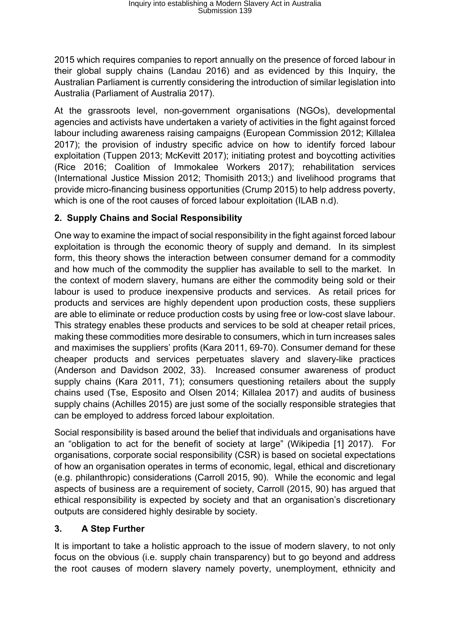2015 which requires companies to report annually on the presence of forced labour in their global supply chains (Landau 2016) and as evidenced by this Inquiry, the Australian Parliament is currently considering the introduction of similar legislation into Australia (Parliament of Australia 2017).

At the grassroots level, non-government organisations (NGOs), developmental agencies and activists have undertaken a variety of activities in the fight against forced labour including awareness raising campaigns (European Commission 2012; Killalea 2017); the provision of industry specific advice on how to identify forced labour exploitation (Tuppen 2013; McKevitt 2017); initiating protest and boycotting activities (Rice 2016; Coalition of Immokalee Workers 2017); rehabilitation services (International Justice Mission 2012; Thomisith 2013;) and livelihood programs that provide micro-financing business opportunities (Crump 2015) to help address poverty, which is one of the root causes of forced labour exploitation (ILAB n.d).

# **2. Supply Chains and Social Responsibility**

One way to examine the impact of social responsibility in the fight against forced labour exploitation is through the economic theory of supply and demand. In its simplest form, this theory shows the interaction between consumer demand for a commodity and how much of the commodity the supplier has available to sell to the market. In the context of modern slavery, humans are either the commodity being sold or their labour is used to produce inexpensive products and services. As retail prices for products and services are highly dependent upon production costs, these suppliers are able to eliminate or reduce production costs by using free or low-cost slave labour. This strategy enables these products and services to be sold at cheaper retail prices, making these commodities more desirable to consumers, which in turn increases sales and maximises the suppliers' profits (Kara 2011, 69-70). Consumer demand for these cheaper products and services perpetuates slavery and slavery-like practices (Anderson and Davidson 2002, 33). Increased consumer awareness of product supply chains (Kara 2011, 71); consumers questioning retailers about the supply chains used (Tse, Esposito and Olsen 2014; Killalea 2017) and audits of business supply chains (Achilles 2015) are just some of the socially responsible strategies that can be employed to address forced labour exploitation.

Social responsibility is based around the belief that individuals and organisations have an "obligation to act for the benefit of society at large" (Wikipedia [1] 2017). For organisations, corporate social responsibility (CSR) is based on societal expectations of how an organisation operates in terms of economic, legal, ethical and discretionary (e.g. philanthropic) considerations (Carroll 2015, 90). While the economic and legal aspects of business are a requirement of society, Carroll (2015, 90) has argued that ethical responsibility is expected by society and that an organisation's discretionary outputs are considered highly desirable by society.

# **3. A Step Further**

It is important to take a holistic approach to the issue of modern slavery, to not only focus on the obvious (i.e. supply chain transparency) but to go beyond and address the root causes of modern slavery namely poverty, unemployment, ethnicity and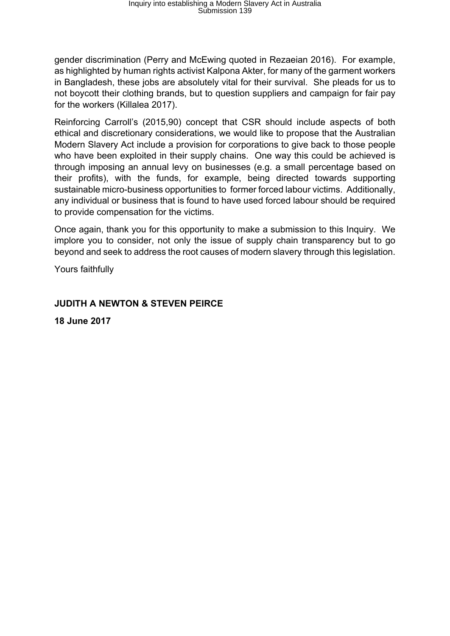gender discrimination (Perry and McEwing quoted in Rezaeian 2016). For example, as highlighted by human rights activist Kalpona Akter, for many of the garment workers in Bangladesh, these jobs are absolutely vital for their survival. She pleads for us to not boycott their clothing brands, but to question suppliers and campaign for fair pay for the workers (Killalea 2017).

Reinforcing Carroll's (2015,90) concept that CSR should include aspects of both ethical and discretionary considerations, we would like to propose that the Australian Modern Slavery Act include a provision for corporations to give back to those people who have been exploited in their supply chains. One way this could be achieved is through imposing an annual levy on businesses (e.g. a small percentage based on their profits), with the funds, for example, being directed towards supporting sustainable micro-business opportunities to former forced labour victims. Additionally, any individual or business that is found to have used forced labour should be required to provide compensation for the victims.

Once again, thank you for this opportunity to make a submission to this Inquiry. We implore you to consider, not only the issue of supply chain transparency but to go beyond and seek to address the root causes of modern slavery through this legislation.

Yours faithfully

# **JUDITH A NEWTON & STEVEN PEIRCE**

**18 June 2017**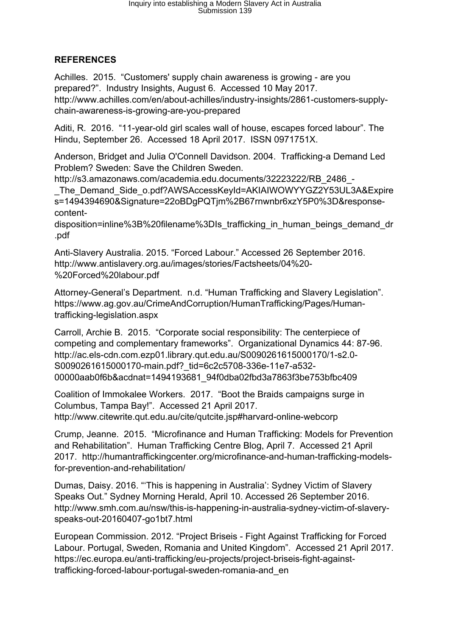# **REFERENCES**

Achilles. 2015. "Customers' supply chain awareness is growing - are you prepared?". Industry Insights, August 6. Accessed 10 May 2017. http://www.achilles.com/en/about-achilles/industry-insights/2861-customers-supplychain-awareness-is-growing-are-you-prepared

Aditi, R. 2016. "11-year-old girl scales wall of house, escapes forced labour". The Hindu, September 26. Accessed 18 April 2017. ISSN 0971751X.

Anderson, Bridget and Julia O'Connell Davidson. 2004. Trafficking-a Demand Led Problem? Sweden: Save the Children Sweden.

http://s3.amazonaws.com/academia.edu.documents/32223222/RB\_2486\_-

\_The\_Demand\_Side\_o.pdf?AWSAccessKeyId=AKIAIWOWYYGZ2Y53UL3A&Expire s=1494394690&Signature=22oBDgPQTjm%2B67rnwnbr6xzY5P0%3D&responsecontent-

disposition=inline%3B%20filename%3DIs\_trafficking\_in\_human\_beings\_demand\_dr .pdf

Anti-Slavery Australia. 2015. "Forced Labour." Accessed 26 September 2016. http://www.antislavery.org.au/images/stories/Factsheets/04%20- %20Forced%20labour.pdf

Attorney-General's Department. n.d. "Human Trafficking and Slavery Legislation". https://www.ag.gov.au/CrimeAndCorruption/HumanTrafficking/Pages/Humantrafficking-legislation.aspx

Carroll, Archie B. 2015. "Corporate social responsibility: The centerpiece of competing and complementary frameworks". Organizational Dynamics 44: 87-96. http://ac.els-cdn.com.ezp01.library.qut.edu.au/S0090261615000170/1-s2.0- S0090261615000170-main.pdf?\_tid=6c2c5708-336e-11e7-a532- 00000aab0f6b&acdnat=1494193681\_94f0dba02fbd3a7863f3be753bfbc409

Coalition of Immokalee Workers. 2017. "Boot the Braids campaigns surge in Columbus, Tampa Bay!". Accessed 21 April 2017. http://www.citewrite.qut.edu.au/cite/qutcite.jsp#harvard-online-webcorp

Crump, Jeanne. 2015. "Microfinance and Human Trafficking: Models for Prevention and Rehabilitation". Human Trafficking Centre Blog, April 7. Accessed 21 April 2017. http://humantraffickingcenter.org/microfinance-and-human-trafficking-modelsfor-prevention-and-rehabilitation/

Dumas, Daisy. 2016. "'This is happening in Australia': Sydney Victim of Slavery Speaks Out." Sydney Morning Herald, April 10. Accessed 26 September 2016. http://www.smh.com.au/nsw/this-is-happening-in-australia-sydney-victim-of-slaveryspeaks-out-20160407-go1bt7.html

European Commission. 2012. "Project Briseis - Fight Against Trafficking for Forced Labour. Portugal, Sweden, Romania and United Kingdom". Accessed 21 April 2017. https://ec.europa.eu/anti-trafficking/eu-projects/project-briseis-fight-againsttrafficking-forced-labour-portugal-sweden-romania-and\_en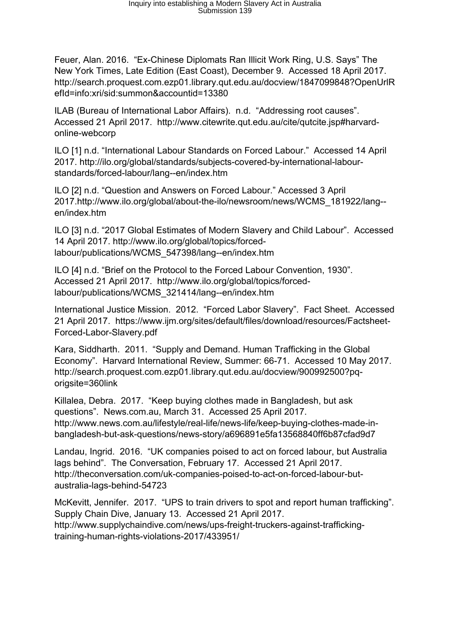Feuer, Alan. 2016. "Ex-Chinese Diplomats Ran Illicit Work Ring, U.S. Says" The New York Times, Late Edition (East Coast), December 9. Accessed 18 April 2017. http://search.proquest.com.ezp01.library.qut.edu.au/docview/1847099848?OpenUrlR efId=info:xri/sid:summon&accountid=13380

ILAB (Bureau of International Labor Affairs). n.d. "Addressing root causes". Accessed 21 April 2017. http://www.citewrite.qut.edu.au/cite/qutcite.jsp#harvardonline-webcorp

ILO [1] n.d. "International Labour Standards on Forced Labour." Accessed 14 April 2017. http://ilo.org/global/standards/subjects-covered-by-international-labourstandards/forced-labour/lang--en/index.htm

ILO [2] n.d. "Question and Answers on Forced Labour." Accessed 3 April 2017.http://www.ilo.org/global/about-the-ilo/newsroom/news/WCMS\_181922/lang- en/index.htm

ILO [3] n.d. "2017 Global Estimates of Modern Slavery and Child Labour". Accessed 14 April 2017. http://www.ilo.org/global/topics/forcedlabour/publications/WCMS\_547398/lang--en/index.htm

ILO [4] n.d. "Brief on the Protocol to the Forced Labour Convention, 1930". Accessed 21 April 2017. http://www.ilo.org/global/topics/forcedlabour/publications/WCMS\_321414/lang--en/index.htm

International Justice Mission. 2012. "Forced Labor Slavery". Fact Sheet. Accessed 21 April 2017. https://www.ijm.org/sites/default/files/download/resources/Factsheet-Forced-Labor-Slavery.pdf

Kara, Siddharth. 2011. "Supply and Demand. Human Trafficking in the Global Economy". Harvard International Review, Summer: 66-71. Accessed 10 May 2017. http://search.proquest.com.ezp01.library.qut.edu.au/docview/900992500?pqorigsite=360link

Killalea, Debra. 2017. "Keep buying clothes made in Bangladesh, but ask questions". News.com.au, March 31. Accessed 25 April 2017. http://www.news.com.au/lifestyle/real-life/news-life/keep-buying-clothes-made-inbangladesh-but-ask-questions/news-story/a696891e5fa13568840ff6b87cfad9d7

Landau, Ingrid. 2016. "UK companies poised to act on forced labour, but Australia lags behind". The Conversation, February 17. Accessed 21 April 2017. http://theconversation.com/uk-companies-poised-to-act-on-forced-labour-butaustralia-lags-behind-54723

McKevitt, Jennifer. 2017. "UPS to train drivers to spot and report human trafficking". Supply Chain Dive, January 13. Accessed 21 April 2017. http://www.supplychaindive.com/news/ups-freight-truckers-against-traffickingtraining-human-rights-violations-2017/433951/